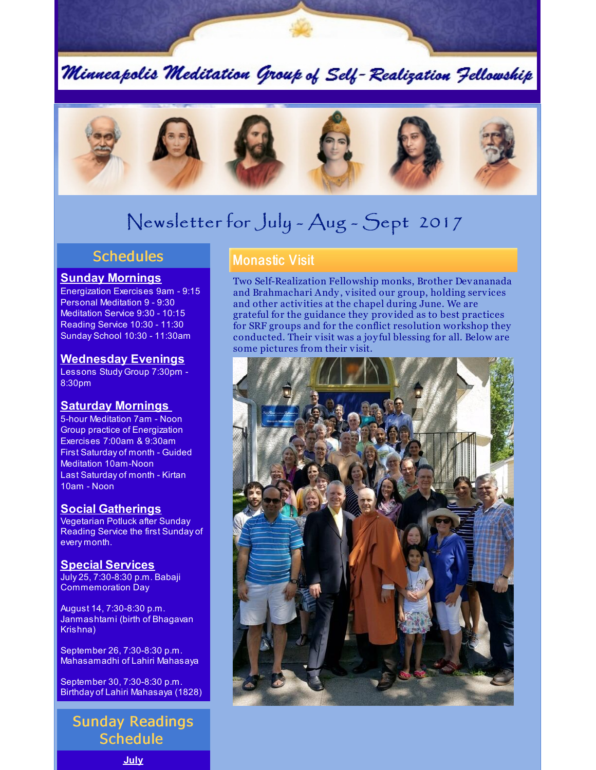Minneapolis Meditation Group of Self-Realization Fellowship



# Newsletter for July - Aug - Sept 2017

### **Schedules**

#### **Sunday Mornings**

Energization Exercises 9am - 9:15 Personal Meditation 9 - 9:30 Meditation Service 9:30 - 10:15 Reading Service 10:30 - 11:30 Sunday School 10:30 - 11:30am

#### **Wednesday Evenings**

Lessons Study Group 7:30pm - 8:30pm

### **Saturday Mornings**

5-hour Meditation 7am - Noon Group practice of Energization Exercises 7:00am & 9:30am First Saturday of month - Guided Meditation 10am-Noon Last Saturday of month - Kirtan 10am - Noon

### **Social Gatherings**

Vegetarian Potluck after Sunday Reading Service the first Sunday of every month.

#### **Special Services**

July 25, 7:30-8:30 p.m. Babaji Commemoration Day

August 14, 7:30-8:30 p.m. Janmashtami (birth of Bhagavan Krishna)

September 26, 7:30-8:30 p.m. Mahasamadhi of Lahiri Mahasaya

September 30, 7:30-8:30 p.m. Birthday of Lahiri Mahasaya (1828)

## Sunday Readings **Schedule**

**July**

### Monastic Visit

Two Self-Realization Fellowship monks, Brother Devananada and Brahmachari Andy, visited our group, holding services and other activities at the chapel during June. We are grateful for the guidance they provided as to best practices for SRF groups and for the conflict resolution workshop they conducted. Their visit was a joy ful blessing for all. Below are some pictures from their visit.

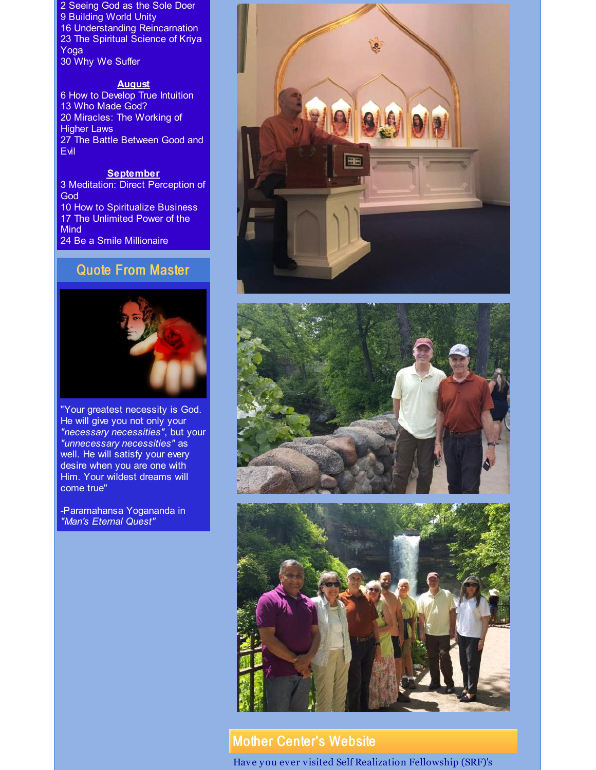Seeing God as the Sole Doer Building World Unity Understanding Reincarnation The Spiritual Science of Kriya Yoga Why We Suffer

#### **August**

 How to Develop True Intuition Who Made God? Miracles: The Working of Higher Laws The Battle Between Good and Evil

#### **September**

 Meditation: Direct Perception of God How to Spiritualize Business The Unlimited Power of the **Mind** Be a Smile Millionaire

### Quote From Master



"Your greatest necessity is God. He will give you not only your *"necessary necessities"*, but your *"unnecessary necessities"* as well. He will satisfy your every desire when you are one with Him. Your wildest dreams will come true"

-Paramahansa Yogananda in *"Man's Eternal Quest"*







### Mother Center's Website

Have you ever visited Self Realization Fellowship (SRF)'s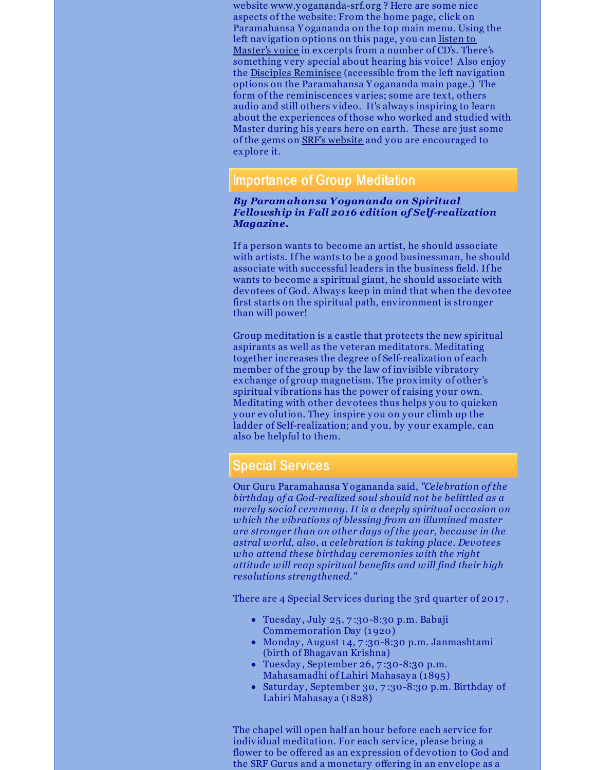website [www.yogananda-srf.org](http://www.yogananda-srf.org) ? Here are some nice aspects of the website: From the home page, click on Paramahansa Y ogananda on the top main menu. Using the left [navigation](http://www.yogananda-srf.org/listentopy/Listen_to_Paramahansa_Yogananda.aspx) options on this page, you can listen to Master's voice in excerpts from a number of CD's. There's something very special about hearing his voice! Also enjoy the Disciples [Reminisce](http://www.yogananda-srf.org/disciples/Disciples_Reminisce.aspx) (accessible from the left navigation options on the Paramahansa Y ogananda main page.) The form of the reminiscences varies; some are text, others audio and still others video. It's always inspiring to learn about the experiences of those who worked and studied with Master during his years here on earth. These are just some of the gems on SRF's [website](http://www.yogananda-srf.org/Default.aspx) and you are encouraged to explore it.

### Importance of Group Meditation

#### *By Paramahansa Yogananda on Spiritual Fellowship in Fall 2016 edition of Self-realization Magazine.*

If a person wants to become an artist, he should associate with artists. If he wants to be a good businessman, he should associate with successful leaders in the business field. If he wants to become a spiritual giant, he should associate with devotees of God. Always keep in mind that when the devotee first starts on the spiritual path, environment is stronger than will power!

Group meditation is a castle that protects the new spiritual aspirants as well as the veteran meditators. Meditating together increases the degree of Self-realization of each member of the group by the law of invisible vibratory exchange of group magnetism. The proximity of other's spiritual vibrations has the power of raising your own. Meditating with other devotees thus helps you to quicken your evolution. They inspire you on your climb up the ladder of Self-realization; and you, by your example, can also be helpful to them.

### Special Services

Our Guru Paramahansa Y ogananda said, *"Celebration of the birthday of a God-realized soul should not be belittled as a merely social ceremony. It is a deeply spiritual occasion on which the vibrations of blessing from an illumined master are stronger than on other days of the year, because in the astral world, also, a celebration is taking place. Devotees who attend these birthday ceremonies with the right attitude will reap spiritual benefits and will find their high resolutions strengthened."*

There are 4 Special Services during the 3rd quarter of 2017 .

- Tuesday , July 25, 7 :30-8:30 p.m. Babaji Commemoration Day (1920)
- Monday , August 14, 7 :30-8:30 p.m. Janmashtami (birth of Bhagavan Krishna)
- Tuesday, September 26, 7:30-8:30 p.m. Mahasamadhi of Lahiri Mahasay a (1895)
- Saturday , September 30, 7 :30-8:30 p.m. Birthday of Lahiri Mahasaya (1828)

The chapel will open half an hour before each service for individual meditation. For each service, please bring a flower to be offered as an expression of devotion to God and the SRF Gurus and a monetary offering in an envelope as a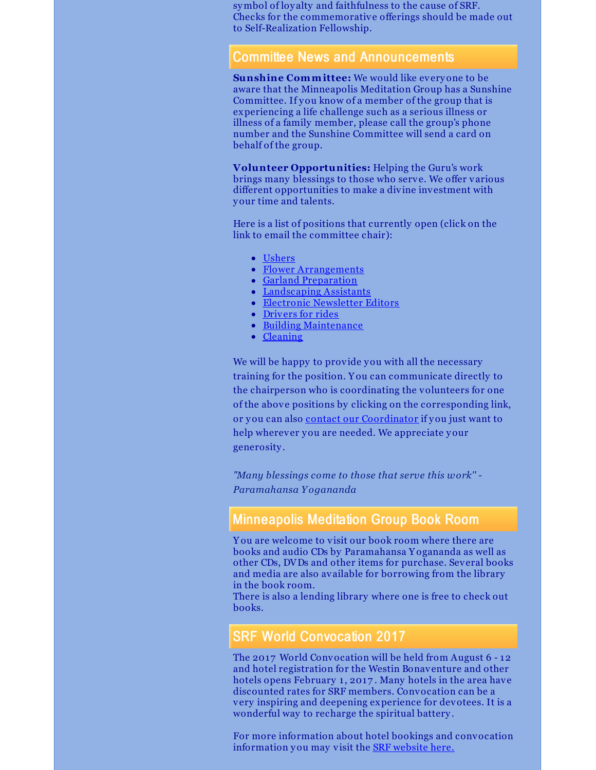symbol of loy alty and faithfulness to the cause of SRF. Checks for the commemorative offerings should be made out to Self-Realization Fellowship.

### Committee News and Announcements

**Sunshine Committee:** We would like everyone to be aware that the Minneapolis Meditation Group has a Sunshine Committee. If you know of a member of the group that is experiencing a life challenge such as a serious illness or illness of a family member, please call the group's phone number and the Sunshine Committee will send a card on behalf of the group.

**Volunteer Opportunities:** Helping the Guru's work brings many blessings to those who serve. We offer various different opportunities to make a divine investment with your time and talents.

Here is a list of positions that currently open (click on the link to email the committee chair):

- [Ushers](mailto:ushers@srfminneapolis.org)
- Flower [Arrangements](mailto:flowers@srfminneapolis.org)
- Garland [Preparation](mailto:garlands@srfminneapolis.org)
- [Landscaping](mailto:landscaping@srfminneapolis.org) Assistants
- Electronic [Newsletter](mailto:terry.schwab@srfminneapolis.org) Editors
- [Drivers](mailto:sunshine@srfminneapolis.org) for rides
- Building [Maintenance](mailto:maintenance@srfminneapolis.org)
- [Cleaning](mailto:cleaning@srfminneapolis.org)

We will be happy to provide you with all the necessary training for the position. Y ou can communicate directly to the chairperson who is coordinating the volunteers for one of the above positions by clicking on the corresponding link, or you can also contact our [Coordinator](mailto:coordinator@srfminneapolis.org) if you just want to help wherever you are needed. We appreciate your generosity .

*"Many blessings come to those that serve this work'' - Paramahansa Y ogananda*

### Minneapolis Meditation Group Book Room

Y ou are welcome to visit our book room where there are books and audio CDs by Paramahansa Y ogananda as well as other CDs, DVDs and other items for purchase. Several books and media are also available for borrowing from the library in the book room.

There is also a lending library where one is free to check out books.

### SRF World Convocation 2017

The 2017 World Convocation will be held from August 6 - 12 and hotel registration for the Westin Bonaventure and other hotels opens February 1, 2017. Many hotels in the area have discounted rates for SRF members. Convocation can be a very inspiring and deepening experience for devotees. It is a wonderful way to recharge the spiritual battery .

For more information about hotel bookings and convocation information you may visit the **SRF** [website](http://www.yogananda-srf.org/srf_world_convocation.aspx#.WGXknvkrKUl) here.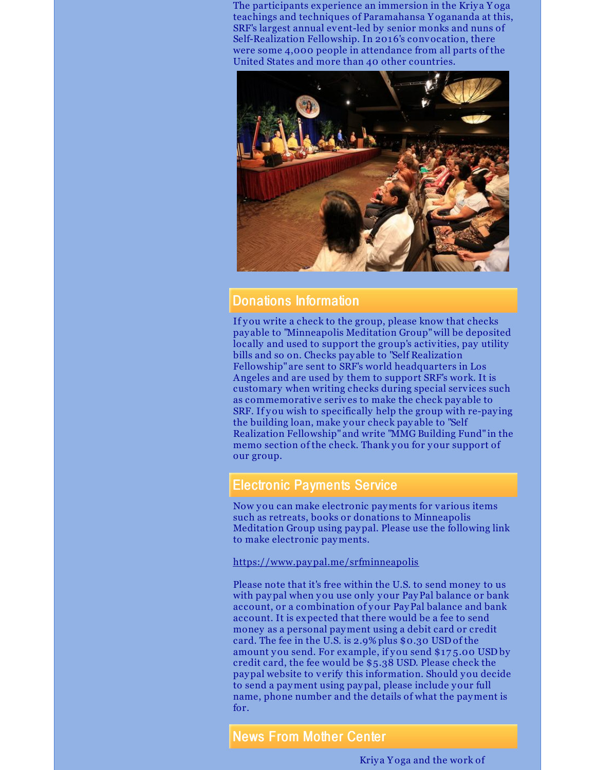The participants experience an immersion in the Kriya Yoga teachings and techniques of Paramahansa Y ogananda at this, SRF's largest annual event-led by senior monks and nuns of Self-Realization Fellowship. In 2016's convocation, there were some 4,000 people in attendance from all parts of the United States and more than 40 other countries.



### Donations Information

If you write a check to the group, please know that checks pay able to "Minneapolis Meditation Group"will be deposited locally and used to support the group's activities, pay utility bills and so on. Checks pay able to "Self Realization Fellowship" are sent to SRF's world headquarters in Los Angeles and are used by them to support SRF's work. It is customary when writing checks during special services such as commemorative serives to make the check pay able to SRF. If you wish to specifically help the group with re-pay ing the building loan, make your check pay able to "Self Realization Fellowship" and write "MMG Building Fund" in the memo section of the check. Thank you for your support of our group.

### Electronic Payments Service

Now you can make electronic payments for various items such as retreats, books or donations to Minneapolis Meditation Group using paypal. Please use the following link to make electronic payments.

<https://www.paypal.me/srfminneapolis>

Please note that it's free within the U.S. to send money to us with paypal when you use only your PayPal balance or bank account, or a combination of your PayPal balance and bank account. It is expected that there would be a fee to send money as a personal payment using a debit card or credit card. The fee in the U.S. is 2.9% plus \$0.30 USD of the amount you send. For example, if you send \$17 5.00 USD by credit card, the fee would be \$5.38 USD. Please check the paypal website to verify this information. Should you decide to send a payment using paypal, please include your full name, phone number and the details of what the payment is for.

News From Mother Center

Kriy a Y oga and the work of